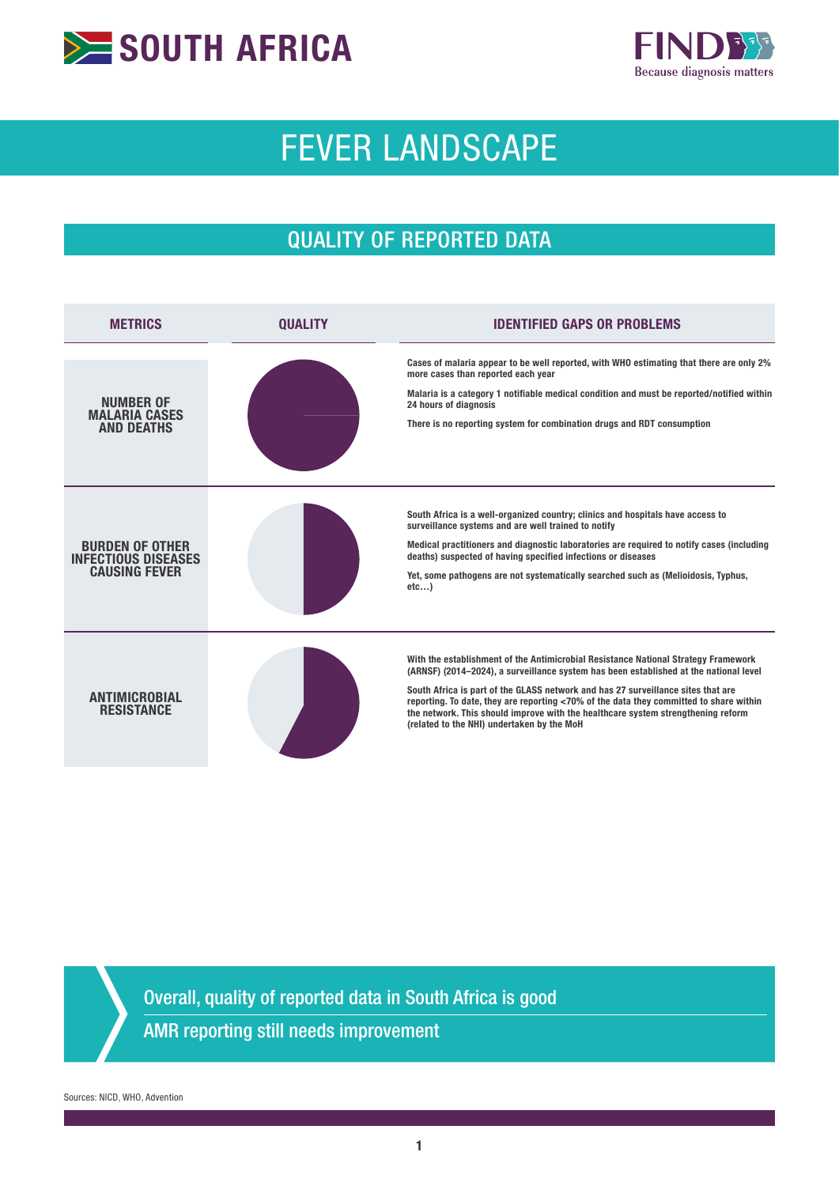



# FEVER LANDSCAPE

## QUALITY OF REPORTED DATA

| <b>METRICS</b>                                                               | OUALITY | <b>IDENTIFIED GAPS OR PROBLEMS</b>                                                                                                                                                                                                                                                                                                                                                                                                                                                          |
|------------------------------------------------------------------------------|---------|---------------------------------------------------------------------------------------------------------------------------------------------------------------------------------------------------------------------------------------------------------------------------------------------------------------------------------------------------------------------------------------------------------------------------------------------------------------------------------------------|
| <b>NUMBER OF</b><br><b>MALARIA CASES</b><br><b>AND DEATHS</b>                |         | Cases of malaria appear to be well reported, with WHO estimating that there are only 2%<br>more cases than reported each year<br>Malaria is a category 1 notifiable medical condition and must be reported/notified within<br>24 hours of diagnosis<br>There is no reporting system for combination drugs and RDT consumption                                                                                                                                                               |
| <b>BURDEN OF OTHER</b><br><b>INFECTIOUS DISEASES</b><br><b>CAUSING FEVER</b> |         | South Africa is a well-organized country; clinics and hospitals have access to<br>surveillance systems and are well trained to notify<br>Medical practitioners and diagnostic laboratories are required to notify cases (including<br>deaths) suspected of having specified infections or diseases<br>Yet, some pathogens are not systematically searched such as (Melioidosis, Typhus,<br>etc                                                                                              |
| ANTIMICROBIAL<br><b>RESISTANCE</b>                                           |         | With the establishment of the Antimicrobial Resistance National Strategy Framework<br>(ARNSF) (2014–2024), a surveillance system has been established at the national level<br>South Africa is part of the GLASS network and has 27 surveillance sites that are<br>reporting. To date, they are reporting <70% of the data they committed to share within<br>the network. This should improve with the healthcare system strengthening reform<br>(related to the NHI) undertaken by the MoH |

Overall, quality of reported data in South Africa is good

AMR reporting still needs improvement

Sources: NICD, WHO, Advention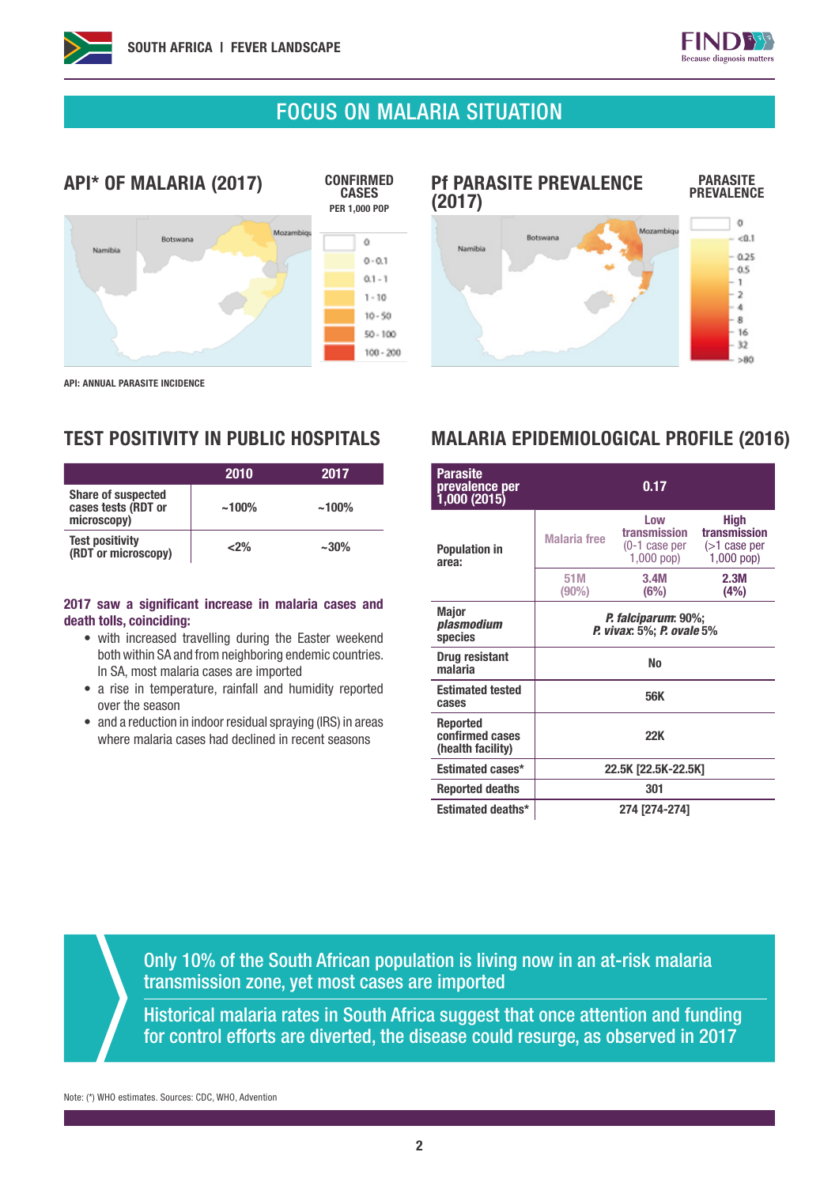

PARASITE **PREVALENCE** 

 $\circ$ 

 $< 0.1$ 

 $0.25$ 

 $0.5$ 

 $\mathbf{1}$  $\rightarrow$ 

### FOCUS ON MALARIA SITUATION

(2017)

Namibia



API: ANNUAL PARASITE INCIDENCE

|                                                                 | 2010     | 2017      |
|-----------------------------------------------------------------|----------|-----------|
| <b>Share of suspected</b><br>cases tests (RDT or<br>microscopy) | $~100\%$ | $~100\%$  |
| <b>Test positivity</b><br>(RDT or microscopy)                   | $2\%$    | $~1.30\%$ |

#### 2017 saw a significant increase in malaria cases and death tolls, coinciding:

- with increased travelling during the Easter weekend both within SA and from neighboring endemic countries. In SA, most malaria cases are imported
- a rise in temperature, rainfall and humidity reported over the season
- and a reduction in indoor residual spraying (IRS) in areas where malaria cases had declined in recent seasons

#### $\overline{a}$  $\overline{\mathbf{g}}$ 16  $32$  $> 80$

Mozambigu

Pf PARASITE PREVALENCE

**Botswan** 

### TEST POSITIVITY IN PUBLIC HOSPITALS MALARIA EPIDEMIOLOGICAL PROFILE (2016)

| <b>Parasite</b><br>prevalence per<br>1,000(2015) |                                                          | 0.17                                                 |                                                                |  |  |
|--------------------------------------------------|----------------------------------------------------------|------------------------------------------------------|----------------------------------------------------------------|--|--|
| <b>Population in</b><br>area:                    | <b>Malaria</b> free                                      | Low<br>transmission<br>(0-1 case per<br>$1,000$ pop) | <b>High</b><br>transmission<br>$($ >1 case per<br>$1,000$ pop) |  |  |
|                                                  | 51M<br>$(90\%)$                                          | 3.4M<br>(6%)                                         | 2.3M<br>(4%)                                                   |  |  |
| <b>Major</b><br>plasmodium<br>species            | <i>P. falciparum</i> : 90%;<br>P. vivax: 5%; P. ovale 5% |                                                      |                                                                |  |  |
| <b>Drug resistant</b><br>malaria                 | <b>No</b>                                                |                                                      |                                                                |  |  |
| <b>Estimated tested</b><br>cases                 | 56K                                                      |                                                      |                                                                |  |  |
| Reported<br>confirmed cases<br>(health facility) | <b>22K</b>                                               |                                                      |                                                                |  |  |
| <b>Estimated cases*</b>                          | 22.5K [22.5K-22.5K]                                      |                                                      |                                                                |  |  |
| <b>Reported deaths</b>                           |                                                          | 301                                                  |                                                                |  |  |
| <b>Estimated deaths*</b>                         |                                                          | 274 [274-274]                                        |                                                                |  |  |

Only 10% of the South African population is living now in an at-risk malaria transmission zone, yet most cases are imported

Historical malaria rates in South Africa suggest that once attention and funding for control efforts are diverted, the disease could resurge, as observed in 2017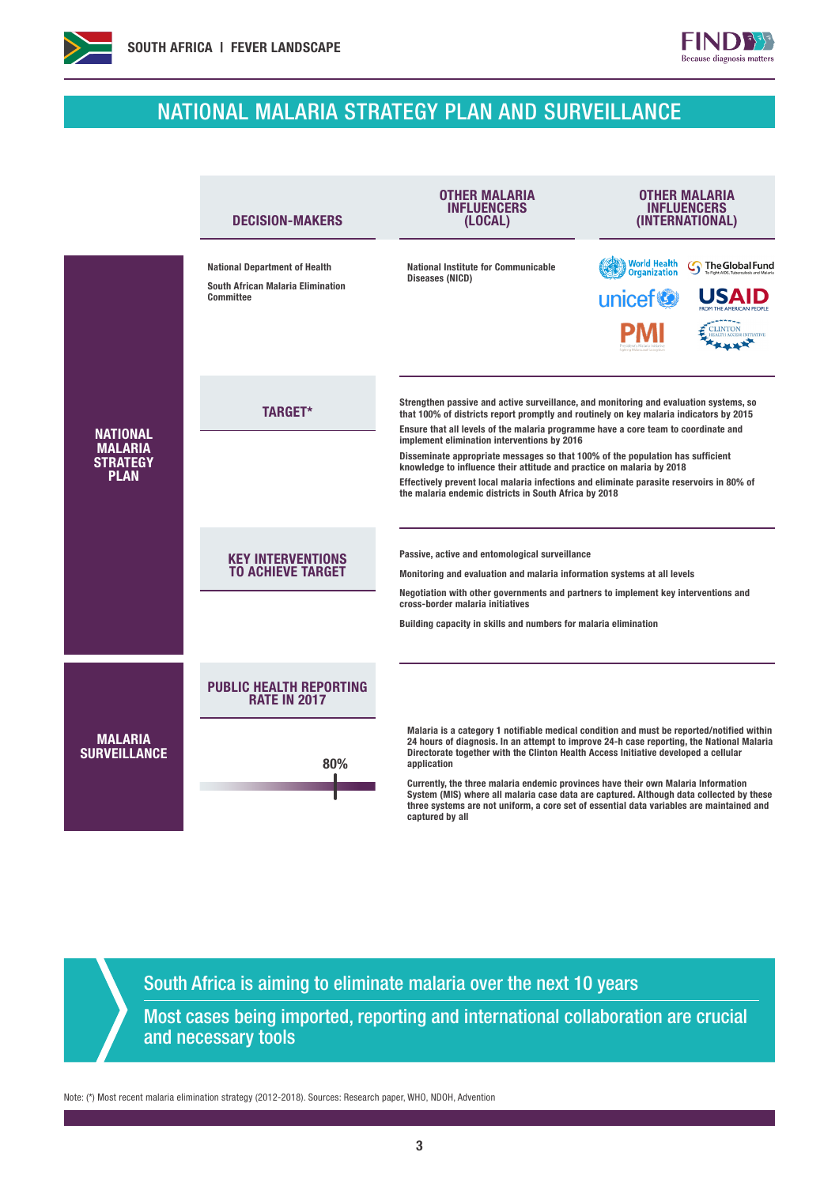

Î.

## NATIONAL MALARIA STRATEGY PLAN AND SURVEILLANCE

**FINDB** Because diagnosis matters

|                                                                     | <b>DECISION-MAKERS</b>                                                                        | <b>OTHER MALARIA</b><br>INFLUENCERS<br>(LOCAL)                                                                                                                                                                                                                                                                                                                                                                                                                                                                                                                                                                                       | OTHER MALARIA<br><b>INFLUENCERS</b><br>(INTERNATIONAL)                                                                                                                                                                                                                                                                                                                        |  |  |
|---------------------------------------------------------------------|-----------------------------------------------------------------------------------------------|--------------------------------------------------------------------------------------------------------------------------------------------------------------------------------------------------------------------------------------------------------------------------------------------------------------------------------------------------------------------------------------------------------------------------------------------------------------------------------------------------------------------------------------------------------------------------------------------------------------------------------------|-------------------------------------------------------------------------------------------------------------------------------------------------------------------------------------------------------------------------------------------------------------------------------------------------------------------------------------------------------------------------------|--|--|
|                                                                     | <b>National Department of Health</b><br><b>South African Malaria Elimination</b><br>Committee | <b>National Institute for Communicable</b><br>Diseases (NICD)                                                                                                                                                                                                                                                                                                                                                                                                                                                                                                                                                                        | <b>World Health</b><br>Organization<br><b>The Global Fund</b><br>unicef <sup>®</sup><br><b>CLINTON</b>                                                                                                                                                                                                                                                                        |  |  |
| <b>NATIONAL</b><br><b>MALARIA</b><br><b>STRATEGY</b><br><b>PLAN</b> | <b>TARGET*</b>                                                                                | Strengthen passive and active surveillance, and monitoring and evaluation systems, so<br>that 100% of districts report promptly and routinely on key malaria indicators by 2015<br>Ensure that all levels of the malaria programme have a core team to coordinate and<br>implement elimination interventions by 2016<br>Disseminate appropriate messages so that 100% of the population has sufficient<br>knowledge to influence their attitude and practice on malaria by 2018<br>Effectively prevent local malaria infections and eliminate parasite reservoirs in 80% of<br>the malaria endemic districts in South Africa by 2018 |                                                                                                                                                                                                                                                                                                                                                                               |  |  |
|                                                                     | <b>KEY INTERVENTIONS</b><br><b>TO ACHIEVE TARGET</b>                                          | Passive, active and entomological surveillance<br>Monitoring and evaluation and malaria information systems at all levels<br>Negotiation with other governments and partners to implement key interventions and<br>cross-border malaria initiatives<br>Building capacity in skills and numbers for malaria elimination                                                                                                                                                                                                                                                                                                               |                                                                                                                                                                                                                                                                                                                                                                               |  |  |
|                                                                     | <b>PUBLIC HEALTH REPORTING</b><br><b>RATE IN 2017</b>                                         |                                                                                                                                                                                                                                                                                                                                                                                                                                                                                                                                                                                                                                      |                                                                                                                                                                                                                                                                                                                                                                               |  |  |
| <b>MALARIA</b><br><b>SURVEILLANCE</b>                               | 80%                                                                                           | Directorate together with the Clinton Health Access Initiative developed a cellular<br>application<br>Currently, the three malaria endemic provinces have their own Malaria Information<br>captured by all                                                                                                                                                                                                                                                                                                                                                                                                                           | Malaria is a category 1 notifiable medical condition and must be reported/notified within<br>24 hours of diagnosis. In an attempt to improve 24-h case reporting, the National Malaria<br>System (MIS) where all malaria case data are captured. Although data collected by these<br>three systems are not uniform, a core set of essential data variables are maintained and |  |  |

South Africa is aiming to eliminate malaria over the next 10 years

Most cases being imported, reporting and international collaboration are crucial and necessary tools

Note: (\*) Most recent malaria elimination strategy (2012-2018). Sources: Research paper, WHO, NDOH, Advention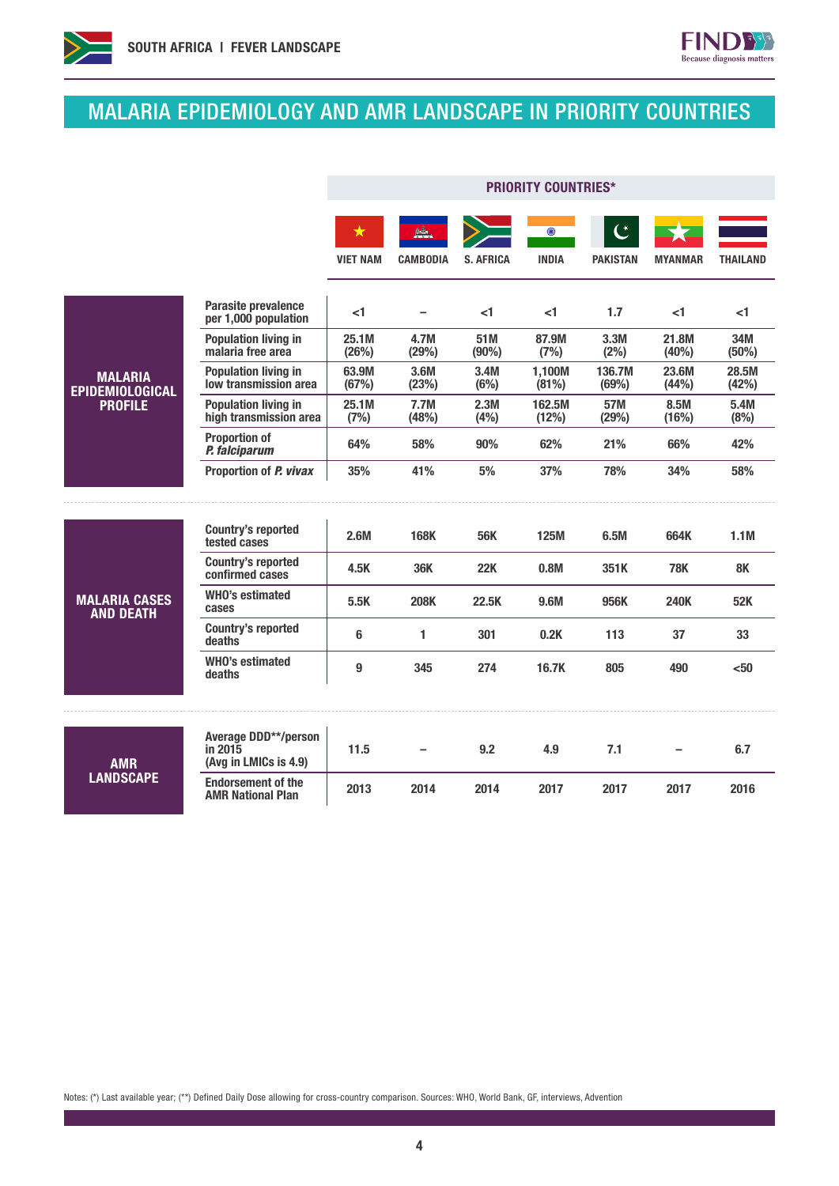



 $FIND$ Because diagnosis matters

|                                          |                                                                 | <b>PRIORITY COUNTRIES*</b> |                 |                  |                         |                                   |                |                 |
|------------------------------------------|-----------------------------------------------------------------|----------------------------|-----------------|------------------|-------------------------|-----------------------------------|----------------|-----------------|
|                                          |                                                                 | ★<br><b>VIET NAM</b>       | <b>CAMBODIA</b> | <b>S. AFRICA</b> | $\odot$<br><b>INDIA</b> | $\mathfrak{C}$<br><b>PAKISTAN</b> | <b>MYANMAR</b> | <b>THAILAND</b> |
|                                          | Parasite prevalence<br>per 1,000 population                     | <1                         |                 | $<$ 1            | $<$ 1                   | 1.7                               | <1             | <1              |
|                                          | <b>Population living in</b><br>malaria free area                | 25.1M<br>(26%)             | 4.7M<br>(29%)   | 51M<br>(90%)     | 87.9M<br>(7%)           | 3.3M<br>(2%)                      | 21.8M<br>(40%) | 34M<br>(50%)    |
| <b>MALARIA</b><br><b>EPIDEMIOLOGICAL</b> | <b>Population living in</b><br>low transmission area            | 63.9M<br>(67%)             | 3.6M<br>(23%)   | 3.4M<br>(6%)     | 1,100M<br>(81%)         | 136.7M<br>(69%)                   | 23.6M<br>(44%) | 28.5M<br>(42%)  |
| <b>PROFILE</b>                           | <b>Population living in</b><br>high transmission area           | 25.1M<br>(7%)              | 7.7M<br>(48%)   | 2.3M<br>(4% )    | 162.5M<br>(12%)         | 57M<br>(29%)                      | 8.5M<br>(16%)  | 5.4M<br>(8%)    |
|                                          | <b>Proportion of</b><br>P. falciparum                           | 64%                        | 58%             | 90%              | 62%                     | 21%                               | 66%            | 42%             |
|                                          | Proportion of P. vivax                                          | 35%                        | 41%             | 5%               | 37%                     | 78%                               | 34%            | 58%             |
|                                          |                                                                 |                            |                 |                  |                         |                                   |                |                 |
|                                          | <b>Country's reported</b><br>tested cases                       | 2.6M                       | <b>168K</b>     | <b>56K</b>       | <b>125M</b>             | 6.5M                              | 664K           | 1.1M            |
|                                          | <b>Country's reported</b><br>confirmed cases                    | 4.5K                       | 36K             | <b>22K</b>       | 0.8M                    | 351K                              | <b>78K</b>     | <b>8K</b>       |
| <b>MALARIA CASES</b><br><b>AND DEATH</b> | <b>WHO's estimated</b><br>cases                                 | 5.5K                       | <b>208K</b>     | 22.5K            | 9.6M                    | 956K                              | <b>240K</b>    | 52K             |
|                                          | <b>Country's reported</b><br>deaths                             | 6                          | 1               | 301              | 0.2K                    | 113                               | 37             | 33              |
|                                          | <b>WHO's estimated</b><br>deaths                                | 9                          | 345             | 274              | 16.7K                   | 805                               | 490            | $50$            |
|                                          |                                                                 |                            |                 |                  |                         |                                   |                |                 |
| <b>AMR</b><br><b>LANDSCAPE</b>           | <b>Average DDD**/person</b><br>in 2015<br>(Avg in LMICs is 4.9) | 11.5                       |                 | 9.2              | 4.9                     | 7.1                               |                | 6.7             |
|                                          | <b>Endorsement of the</b><br><b>AMR National Plan</b>           | 2013                       | 2014            | 2014             | 2017                    | 2017                              | 2017           | 2016            |

Notes: (\*) Last available year; (\*\*) Defined Daily Dose allowing for cross-country comparison. Sources: WHO, World Bank, GF, interviews, Advention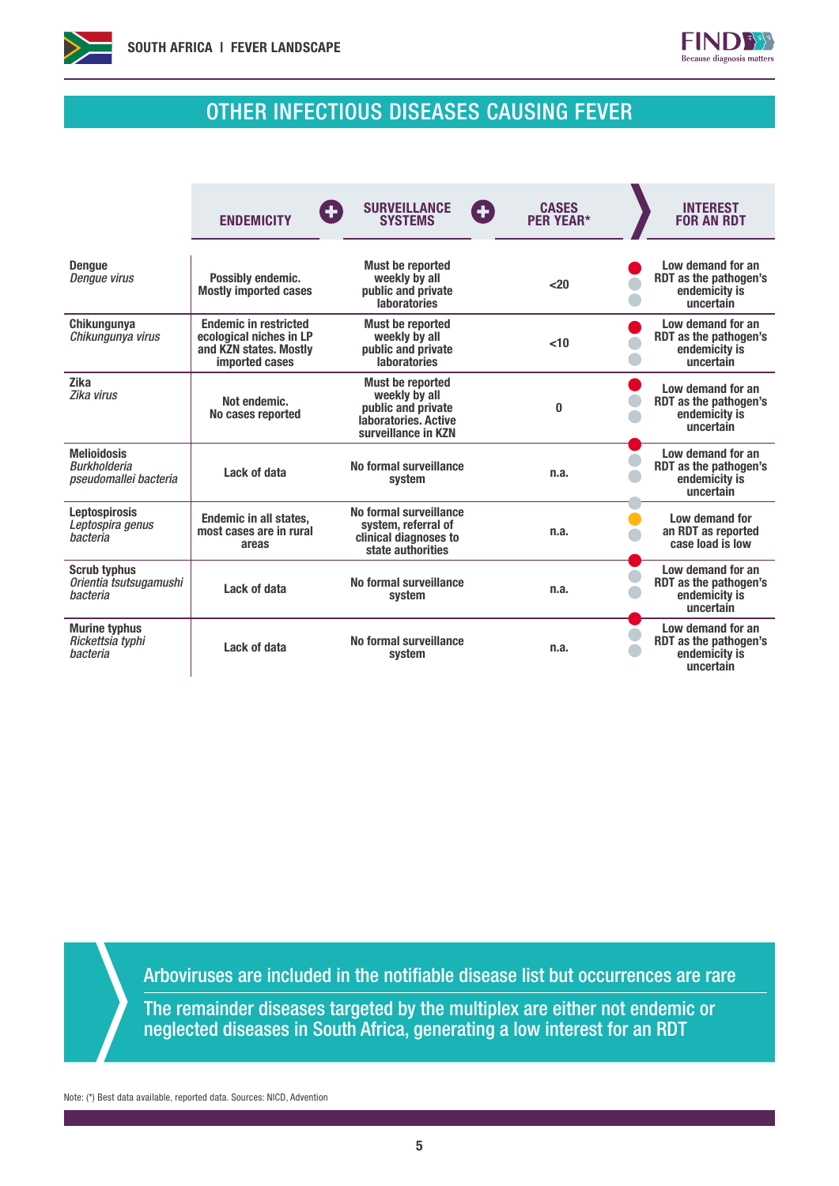



### OTHER INFECTIOUS DISEASES CAUSING FEVER

|                                                                    | <b>ENDEMICITY</b>                                                                                          | <b>SURVEILLANCE</b><br>$\left( \begin{matrix} \textbf{H} \end{matrix} \right)$<br><b>SYSTEMS</b>              | <b>CASES</b><br>Ð<br><b>PER YEAR*</b> | <b>INTEREST</b><br><b>FOR AN RDT</b>                                     |
|--------------------------------------------------------------------|------------------------------------------------------------------------------------------------------------|---------------------------------------------------------------------------------------------------------------|---------------------------------------|--------------------------------------------------------------------------|
| <b>Dengue</b><br><b>Dengue virus</b>                               | Possibly endemic.<br><b>Mostly imported cases</b>                                                          | <b>Must be reported</b><br>weekly by all<br>public and private<br><b>laboratories</b>                         | $20$                                  | Low demand for an<br>RDT as the pathogen's<br>endemicity is<br>uncertain |
| Chikungunya<br>Chikungunya virus                                   | <b>Endemic in restricted</b><br>ecological niches in LP<br>and KZN states. Mostly<br><b>imported cases</b> | <b>Must be reported</b><br>weekly by all<br>public and private<br><b>laboratories</b>                         | < 10                                  | Low demand for an<br>RDT as the pathogen's<br>endemicity is<br>uncertain |
| <b>Zika</b><br>Zika virus                                          | Not endemic.<br>No cases reported                                                                          | <b>Must be reported</b><br>weekly by all<br>public and private<br>laboratories, Active<br>surveillance in KZN | 0                                     | Low demand for an<br>RDT as the pathogen's<br>endemicity is<br>uncertain |
| <b>Melioidosis</b><br><b>Burkholderia</b><br>pseudomallei bacteria | Lack of data                                                                                               | No formal surveillance<br>system                                                                              | n.a.                                  | Low demand for an<br>RDT as the pathogen's<br>endemicity is<br>uncertain |
| <b>Leptospirosis</b><br>Leptospira genus<br>bacteria               | <b>Endemic in all states.</b><br>most cases are in rural<br>areas                                          | No formal surveillance<br>system, referral of<br>clinical diagnoses to<br>state authorities                   | n.a.                                  | Low demand for<br>an RDT as reported<br>case load is low                 |
| <b>Scrub typhus</b><br>Orientia tsutsugamushi<br>hacteria          | Lack of data                                                                                               | No formal surveillance<br>system                                                                              | n.a.                                  | Low demand for an<br>RDT as the pathogen's<br>endemicity is<br>uncertain |
| <b>Murine typhus</b><br>Rickettsia typhi<br>bacteria               | Lack of data                                                                                               | No formal surveillance<br>system                                                                              | n.a.                                  | Low demand for an<br>RDT as the pathogen's<br>endemicity is<br>uncertain |

Arboviruses are included in the notifiable disease list but occurrences are rare

The remainder diseases targeted by the multiplex are either not endemic or neglected diseases in South Africa, generating a low interest for an RDT

Note: (\*) Best data available, reported data. Sources: NICD, Advention